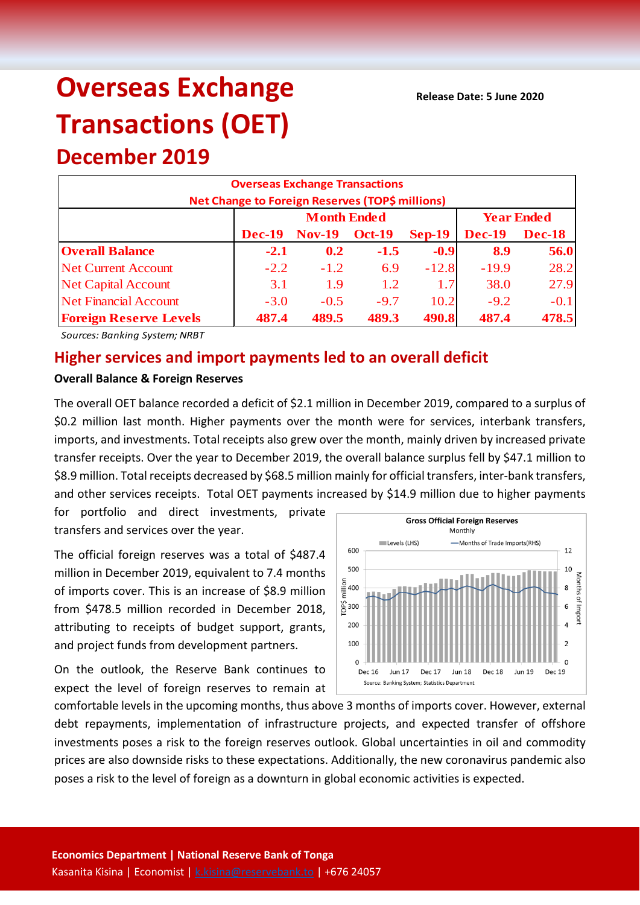# **Overseas Exchange Transactions (OET)**

**December 2019**

| <b>Overseas Exchange Transactions</b>           |               |                    |               |                   |                                |        |  |  |
|-------------------------------------------------|---------------|--------------------|---------------|-------------------|--------------------------------|--------|--|--|
| Net Change to Foreign Reserves (TOP\$ millions) |               |                    |               |                   |                                |        |  |  |
|                                                 |               | <b>Month Ended</b> |               | <b>Year Ended</b> |                                |        |  |  |
|                                                 | <b>Dec-19</b> | <b>Nov-19</b>      | <b>Oct-19</b> | $Sep-19$          | <b>Dec-19</b><br><b>Dec-18</b> |        |  |  |
| <b>Overall Balance</b>                          | $-2.1$        | 0.2                | $-1.5$        | $-0.9$            | 8.9                            | 56.0   |  |  |
| <b>Net Current Account</b>                      | $-2.2$        | $-1.2$             | 6.9           | $-12.8$           | $-19.9$                        | 28.2   |  |  |
| <b>Net Capital Account</b>                      | 3.1           | 1.9                | 1.2           | 1.7               | 38.0                           | 27.9   |  |  |
| <b>Net Financial Account</b>                    | $-3.0$        | $-0.5$             | $-9.7$        | 10.2              | $-9.2$                         | $-0.1$ |  |  |
| <b>Foreign Reserve Levels</b>                   | 487.4         | 489.5              | 489.3         | 490.8             | 487.4                          | 478.5  |  |  |

*Sources: Banking System; NRBT*

## **Higher services and import payments led to an overall deficit**

#### **Overall Balance & Foreign Reserves**

The overall OET balance recorded a deficit of \$2.1 million in December 2019, compared to a surplus of \$0.2 million last month. Higher payments over the month were for services, interbank transfers, imports, and investments. Total receipts also grew over the month, mainly driven by increased private transfer receipts. Over the year to December 2019, the overall balance surplus fell by \$47.1 million to \$8.9 million. Total receipts decreased by \$68.5 million mainly for official transfers, inter-bank transfers, and other services receipts. Total OET payments increased by \$14.9 million due to higher payments

for portfolio and direct investments, private transfers and services over the year.

The official foreign reserves was a total of \$487.4 million in December 2019, equivalent to 7.4 months of imports cover. This is an increase of \$8.9 million from \$478.5 million recorded in December 2018, attributing to receipts of budget support, grants, and project funds from development partners.

On the outlook, the Reserve Bank continues to expect the level of foreign reserves to remain at



comfortable levels in the upcoming months, thus above 3 months of imports cover. However, external debt repayments, implementation of infrastructure projects, and expected transfer of offshore investments poses a risk to the foreign reserves outlook. Global uncertainties in oil and commodity prices are also downside risks to these expectations. Additionally, the new coronavirus pandemic also poses a risk to the level of foreign as a downturn in global economic activities is expected.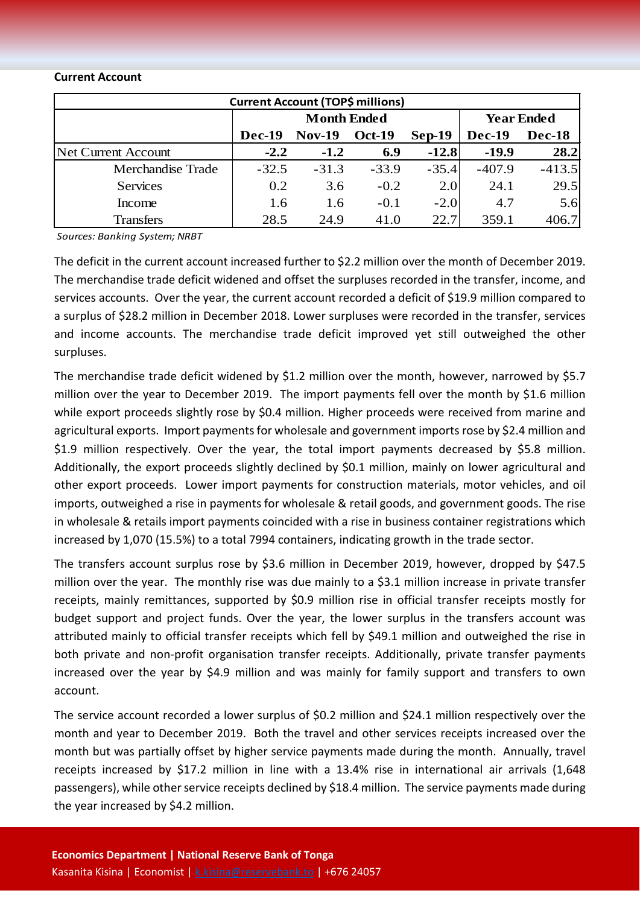#### **Current Account**

| <b>Current Account (TOP\$ millions)</b> |                    |               |               |          |                   |               |  |  |
|-----------------------------------------|--------------------|---------------|---------------|----------|-------------------|---------------|--|--|
|                                         | <b>Month Ended</b> |               |               |          | <b>Year Ended</b> |               |  |  |
|                                         | Dec-19             | <b>Nov-19</b> | <b>Oct-19</b> | $Sep-19$ | Dec-19            | <b>Dec-18</b> |  |  |
| Net Current Account                     | $-2.2$             | $-1.2$        | 6.9           | $-12.8$  | $-19.9$           | 28.2          |  |  |
| Merchandise Trade                       | $-32.5$            | $-31.3$       | $-33.9$       | $-35.4$  | $-407.9$          | $-413.5$      |  |  |
| <b>Services</b>                         | 0.2                | 3.6           | $-0.2$        | 2.0      | 24.1              | 29.5          |  |  |
| Income                                  | 1.6                | 1.6           | $-0.1$        | $-2.0$   | 4.7               | 5.6           |  |  |
| <b>Transfers</b>                        | 28.5               | 24.9          | 41.0          | 22.7     | 359.1             | 406.7         |  |  |

*Sources: Banking System; NRBT*

The deficit in the current account increased further to \$2.2 million over the month of December 2019. The merchandise trade deficit widened and offset the surpluses recorded in the transfer, income, and services accounts. Over the year, the current account recorded a deficit of \$19.9 million compared to a surplus of \$28.2 million in December 2018. Lower surpluses were recorded in the transfer, services and income accounts. The merchandise trade deficit improved yet still outweighed the other surpluses.

The merchandise trade deficit widened by \$1.2 million over the month, however, narrowed by \$5.7 million over the year to December 2019. The import payments fell over the month by \$1.6 million while export proceeds slightly rose by \$0.4 million. Higher proceeds were received from marine and agricultural exports. Import payments for wholesale and government imports rose by \$2.4 million and \$1.9 million respectively. Over the year, the total import payments decreased by \$5.8 million. Additionally, the export proceeds slightly declined by \$0.1 million, mainly on lower agricultural and other export proceeds. Lower import payments for construction materials, motor vehicles, and oil imports, outweighed a rise in payments for wholesale & retail goods, and government goods. The rise in wholesale & retails import payments coincided with a rise in business container registrations which increased by 1,070 (15.5%) to a total 7994 containers, indicating growth in the trade sector.

The transfers account surplus rose by \$3.6 million in December 2019, however, dropped by \$47.5 million over the year. The monthly rise was due mainly to a \$3.1 million increase in private transfer receipts, mainly remittances, supported by \$0.9 million rise in official transfer receipts mostly for budget support and project funds. Over the year, the lower surplus in the transfers account was attributed mainly to official transfer receipts which fell by \$49.1 million and outweighed the rise in both private and non-profit organisation transfer receipts. Additionally, private transfer payments increased over the year by \$4.9 million and was mainly for family support and transfers to own account.

The service account recorded a lower surplus of \$0.2 million and \$24.1 million respectively over the month and year to December 2019. Both the travel and other services receipts increased over the month but was partially offset by higher service payments made during the month. Annually, travel receipts increased by \$17.2 million in line with a 13.4% rise in international air arrivals (1,648 passengers), while other service receipts declined by \$18.4 million. The service payments made during the year increased by \$4.2 million.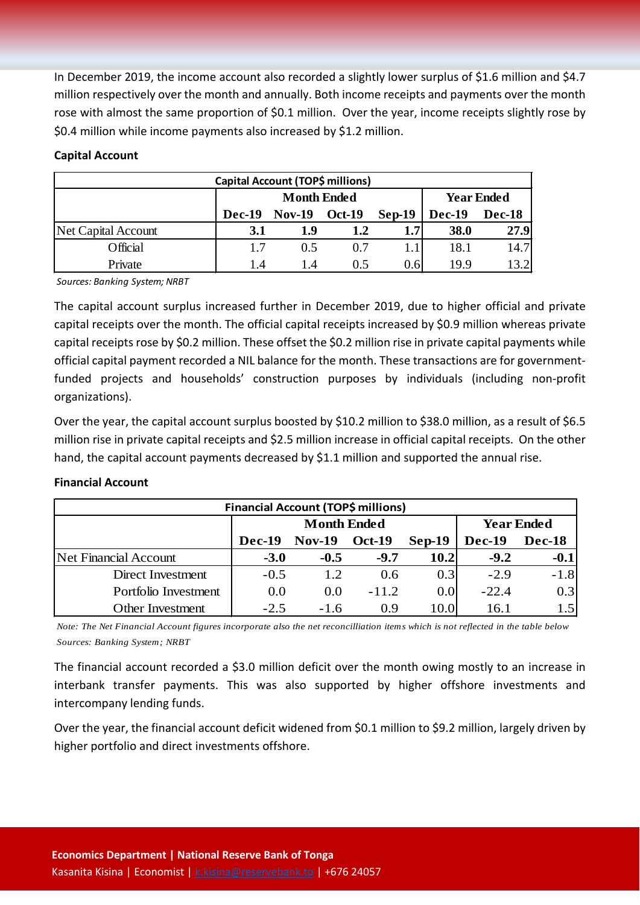In December 2019, the income account also recorded a slightly lower surplus of \$1.6 million and \$4.7 million respectively over the month and annually. Both income receipts and payments over the month rose with almost the same proportion of \$0.1 million. Over the year, income receipts slightly rose by \$0.4 million while income payments also increased by \$1.2 million.

### **Capital Account**

| Capital Account (TOP\$ millions) |               |                    |                   |          |                                |       |  |  |
|----------------------------------|---------------|--------------------|-------------------|----------|--------------------------------|-------|--|--|
|                                  |               | <b>Month Ended</b> | <b>Year Ended</b> |          |                                |       |  |  |
|                                  | <b>Dec-19</b> | $Nov-19$           | <b>Oct-19</b>     | $Sep-19$ | <b>Dec-19</b><br><b>Dec-18</b> |       |  |  |
| Net Capital Account              | 3.1           | 1.9                | 1.2               | 1.7      | 38.0                           | 27.9  |  |  |
| Official                         | 1.7           | 0.5                | 0.7               |          | 18.1                           | 14.7  |  |  |
| Private                          | 1.4           | 1.4                | 0.5               | 0.6      | 19.9                           | 13.21 |  |  |

*Sources: Banking System; NRBT*

The capital account surplus increased further in December 2019, due to higher official and private capital receipts over the month. The official capital receipts increased by \$0.9 million whereas private capital receipts rose by \$0.2 million. These offset the \$0.2 million rise in private capital payments while official capital payment recorded a NIL balance for the month. These transactions are for governmentfunded projects and households' construction purposes by individuals (including non-profit organizations).

Over the year, the capital account surplus boosted by \$10.2 million to \$38.0 million, as a result of \$6.5 million rise in private capital receipts and \$2.5 million increase in official capital receipts. On the other hand, the capital account payments decreased by \$1.1 million and supported the annual rise.

#### **Financial Account**

| <b>Financial Account (TOP\$ millions)</b> |                    |               |               |          |                   |               |  |  |
|-------------------------------------------|--------------------|---------------|---------------|----------|-------------------|---------------|--|--|
|                                           | <b>Month Ended</b> |               |               |          | <b>Year Ended</b> |               |  |  |
|                                           | Dec-19             | <b>Nov-19</b> | <b>Oct-19</b> | $Sep-19$ | <b>Dec-19</b>     | <b>Dec-18</b> |  |  |
| Net Financial Account                     | $-3.0$             | $-0.5$        | $-9.7$        | 10.2     | $-9.2$            | $-0.1$        |  |  |
| Direct Investment                         | $-0.5$             | 1.2.          | 0.6           | 0.3      | $-2.9$            | $-1.8$        |  |  |
| Portfolio Investment                      | 0.0                | 0.0           | $-11.2$       | 0.0      | $-22.4$           | 0.3           |  |  |
| <b>Other Investment</b>                   | $-2.5$             | $-1.6$        | 0.9           | 10.0     | 16.1              | 1.5           |  |  |

*Note: The Net Financial Account figures incorporate also the net reconcilliation items which is not reflected in the table below Sources: Banking System; NRBT*

The financial account recorded a \$3.0 million deficit over the month owing mostly to an increase in interbank transfer payments. This was also supported by higher offshore investments and intercompany lending funds.

Over the year, the financial account deficit widened from \$0.1 million to \$9.2 million, largely driven by higher portfolio and direct investments offshore.